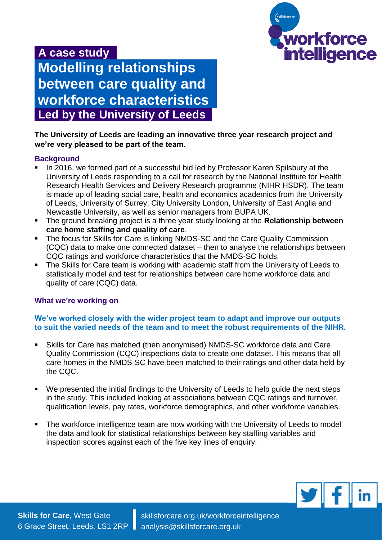

# **A case study Modelling relationships between care quality and workforce characteristics Led by the University of Leeds**

## **The University of Leeds are leading an innovative three year research project and we're very pleased to be part of the team.**

### **Background**

- In 2016, we formed part of a successful bid led by Professor Karen Spilsbury at the University of Leeds responding to a call for research by the National Institute for Health Research Health Services and Delivery Research programme (NIHR HSDR). The team is made up of leading social care, health and economics academics from the University of Leeds, University of Surrey, City University London, University of East Anglia and Newcastle University, as well as senior managers from BUPA UK.
- The ground breaking project is a three year study looking at the **Relationship between care home staffing and quality of care**.
- The focus for Skills for Care is linking NMDS-SC and the Care Quality Commission (CQC) data to make one connected dataset – then to analyse the relationships between CQC ratings and workforce characteristics that the NMDS-SC holds.
- The Skills for Care team is working with academic staff from the University of Leeds to statistically model and test for relationships between care home workforce data and quality of care (CQC) data.

## **What we're working on**

### **We've worked closely with the wider project team to adapt and improve our outputs to suit the varied needs of the team and to meet the robust requirements of the NIHR.**

- Skills for Care has matched (then anonymised) NMDS-SC workforce data and Care Quality Commission (CQC) inspections data to create one dataset. This means that all care homes in the NMDS-SC have been matched to their ratings and other data held by the CQC.
- We presented the initial findings to the University of Leeds to help guide the next steps in the study. This included looking at associations between CQC ratings and turnover, qualification levels, pay rates, workforce demographics, and other workforce variables.
- The workforce intelligence team are now working with the University of Leeds to model the data and look for statistical relationships between key staffing variables and inspection scores against each of the five key lines of enquiry.